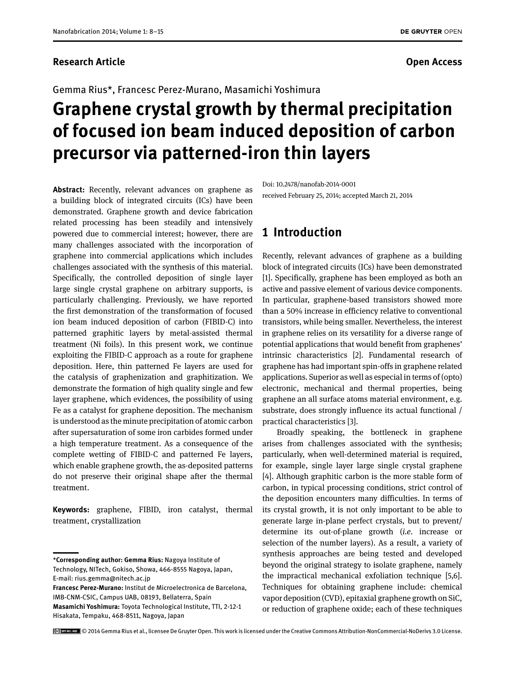#### **Research Article Open Access**

Gemma Rius\*, Francesc Perez-Murano, Masamichi Yoshimura

# **Graphene crystal growth by thermal precipitation of focused ion beam induced deposition of carbon precursor via patterned-iron thin layers**

**Abstract:** Recently, relevant advances on graphene as a building block of integrated circuits (ICs) have been demonstrated. Graphene growth and device fabrication related processing has been steadily and intensively powered due to commercial interest; however, there are many challenges associated with the incorporation of graphene into commercial applications which includes challenges associated with the synthesis of this material. Specifically, the controlled deposition of single layer large single crystal graphene on arbitrary supports, is particularly challenging. Previously, we have reported the first demonstration of the transformation of focused ion beam induced deposition of carbon (FIBID-C) into patterned graphitic layers by metal-assisted thermal treatment (Ni foils). In this present work, we continue exploiting the FIBID-C approach as a route for graphene deposition. Here, thin patterned Fe layers are used for the catalysis of graphenization and graphitization. We demonstrate the formation of high quality single and few layer graphene, which evidences, the possibility of using Fe as a catalyst for graphene deposition. The mechanism is understood as the minute precipitation of atomic carbon after supersaturation of some iron carbides formed under a high temperature treatment. As a consequence of the complete wetting of FIBID-C and patterned Fe layers, which enable graphene growth, the as-deposited patterns do not preserve their original shape after the thermal treatment.

**Keywords:** graphene, FIBID, iron catalyst, thermal treatment, crystallization

**Francesc Perez-Murano:** Institut de Microelectronica de Barcelona, IMB-CNM-CSIC, Campus UAB, 08193, Bellaterra, Spain **Masamichi Yoshimura:** Toyota Technological Institute, TTI, 2-12-1

Hisakata, Tempaku, 468-8511, Nagoya, Japan

Doi: 10.2478/nanofab-2014-0001 received February 25, 2014; accepted March 21, 2014

## **1 Introduction**

Recently, relevant advances of graphene as a building block of integrated circuits (ICs) have been demonstrated [1]. Specifically, graphene has been employed as both an active and passive element of various device components. In particular, graphene-based transistors showed more than a 50% increase in efficiency relative to conventional transistors, while being smaller. Nevertheless, the interest in graphene relies on its versatility for a diverse range of potential applications that would benefit from graphenes' intrinsic characteristics [2]. Fundamental research of graphene has had important spin-offs in graphene related applications. Superior as well as especial in terms of (opto) electronic, mechanical and thermal properties, being graphene an all surface atoms material environment, e.g. substrate, does strongly influence its actual functional / practical characteristics [3].

Broadly speaking, the bottleneck in graphene arises from challenges associated with the synthesis; particularly, when well-determined material is required, for example, single layer large single crystal graphene [4]. Although graphitic carbon is the more stable form of carbon, in typical processing conditions, strict control of the deposition encounters many difficulties. In terms of its crystal growth, it is not only important to be able to generate large in-plane perfect crystals, but to prevent/ determine its out-of-plane growth (*i.e.* increase or selection of the number layers). As a result, a variety of synthesis approaches are being tested and developed beyond the original strategy to isolate graphene, namely the impractical mechanical exfoliation technique [5,6]. Techniques for obtaining graphene include: chemical vapor deposition (CVD), epitaxial graphene growth on SiC, or reduction of graphene oxide; each of these techniques

<sup>\*</sup>**Corresponding author: Gemma Rius:** Nagoya Institute of Technology, NITech, Gokiso, Showa, 466-8555 Nagoya, Japan, E-mail: rius.gemma@nitech.ac.jp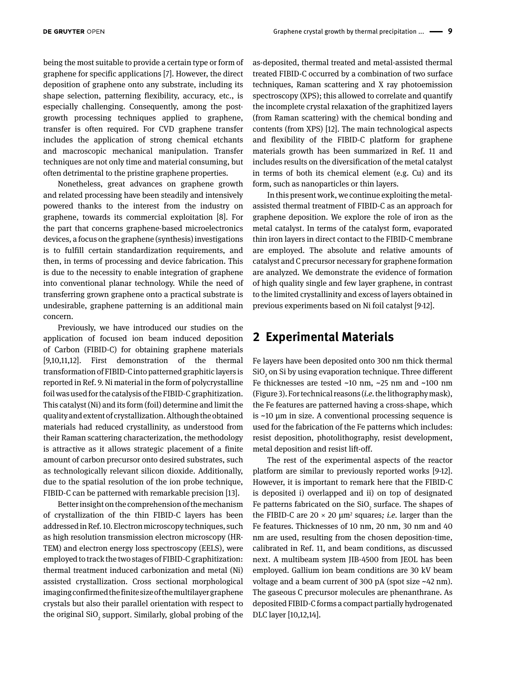being the most suitable to provide a certain type or form of graphene for specific applications [7]. However, the direct deposition of graphene onto any substrate, including its shape selection, patterning flexibility, accuracy, etc., is especially challenging. Consequently, among the postgrowth processing techniques applied to graphene, transfer is often required. For CVD graphene transfer includes the application of strong chemical etchants and macroscopic mechanical manipulation. Transfer techniques are not only time and material consuming, but often detrimental to the pristine graphene properties.

Nonetheless, great advances on graphene growth and related processing have been steadily and intensively powered thanks to the interest from the industry on graphene, towards its commercial exploitation [8]. For the part that concerns graphene-based microelectronics devices, a focus on the graphene (synthesis) investigations is to fulfill certain standardization requirements, and then, in terms of processing and device fabrication. This is due to the necessity to enable integration of graphene into conventional planar technology. While the need of transferring grown graphene onto a practical substrate is undesirable, graphene patterning is an additional main concern.

Previously, we have introduced our studies on the application of focused ion beam induced deposition of Carbon (FIBID-C) for obtaining graphene materials [9,10,11,12]. First demonstration of the thermal transformation of FIBID-C into patterned graphitic layers is reported in Ref. 9. Ni material in the form of polycrystalline foil was used for the catalysis of the FIBID-C graphitization. This catalyst (Ni) and its form (foil) determine and limit the quality and extent of crystallization. Although the obtained materials had reduced crystallinity, as understood from their Raman scattering characterization, the methodology is attractive as it allows strategic placement of a finite amount of carbon precursor onto desired substrates, such as technologically relevant silicon dioxide. Additionally, due to the spatial resolution of the ion probe technique, FIBID-C can be patterned with remarkable precision [13].

Better insight on the comprehension of the mechanism of crystallization of the thin FIBID-C layers has been addressed in Ref. 10. Electron microscopy techniques, such as high resolution transmission electron microscopy (HR-TEM) and electron energy loss spectroscopy (EELS), were employed to track the two stages of FIBID-C graphitization: thermal treatment induced carbonization and metal (Ni) assisted crystallization. Cross sectional morphological imaging confirmed the finite size of the multilayer graphene crystals but also their parallel orientation with respect to the original  $\text{SiO}_2$  support. Similarly, global probing of the as-deposited, thermal treated and metal-assisted thermal treated FIBID-C occurred by a combination of two surface techniques, Raman scattering and X ray photoemission spectroscopy (XPS); this allowed to correlate and quantify the incomplete crystal relaxation of the graphitized layers (from Raman scattering) with the chemical bonding and contents (from XPS) [12]. The main technological aspects and flexibility of the FIBID-C platform for graphene materials growth has been summarized in Ref. 11 and includes results on the diversification of the metal catalyst in terms of both its chemical element (e.g. Cu) and its form, such as nanoparticles or thin layers.

In this present work, we continue exploiting the metalassisted thermal treatment of FIBID-C as an approach for graphene deposition. We explore the role of iron as the metal catalyst. In terms of the catalyst form, evaporated thin iron layers in direct contact to the FIBID-C membrane are employed. The absolute and relative amounts of catalyst and C precursor necessary for graphene formation are analyzed. We demonstrate the evidence of formation of high quality single and few layer graphene, in contrast to the limited crystallinity and excess of layers obtained in previous experiments based on Ni foil catalyst [9-12].

#### **2 Experimental Materials**

Fe layers have been deposited onto 300 nm thick thermal  ${\rm SiO}_\textrm{2}$  on  ${\rm Si}$  by using evaporation technique. Three different Fe thicknesses are tested ~10 nm, ~25 nm and ~100 nm (Figure 3). For technical reasons (*i.e.* the lithography mask), the Fe features are patterned having a cross-shape, which is  $~10 \mu m$  in size. A conventional processing sequence is used for the fabrication of the Fe patterns which includes: resist deposition, photolithography, resist development, metal deposition and resist lift-off.

The rest of the experimental aspects of the reactor platform are similar to previously reported works [9-12]. However, it is important to remark here that the FIBID-C is deposited i) overlapped and ii) on top of designated Fe patterns fabricated on the SiO<sub>2</sub> surface. The shapes of the FIBID-C are 20 × 20 µm2 squares*; i.e.* larger than the Fe features. Thicknesses of 10 nm, 20 nm, 30 nm and 40 nm are used, resulting from the chosen deposition-time, calibrated in Ref. 11, and beam conditions, as discussed next. A multibeam system JIB-4500 from JEOL has been employed. Gallium ion beam conditions are 30 kV beam voltage and a beam current of 300 pA (spot size ~42 nm). The gaseous C precursor molecules are phenanthrane. As deposited FIBID-C forms a compact partially hydrogenated DLC layer [10,12,14].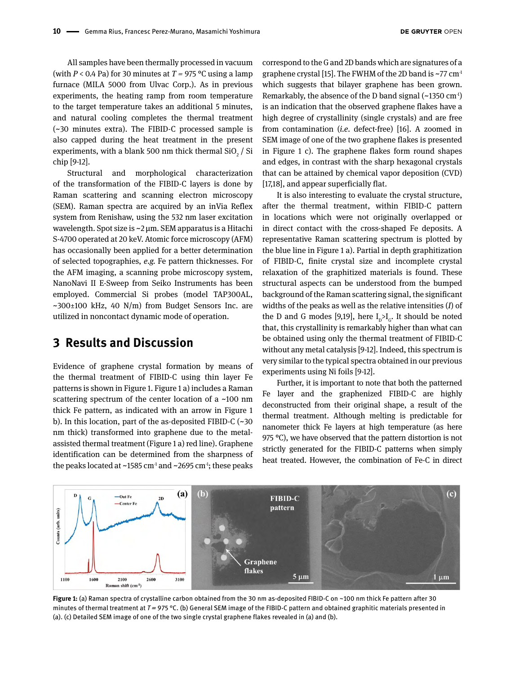All samples have been thermally processed in vacuum (with  $P < 0.4$  Pa) for 30 minutes at  $T = 975$  °C using a lamp furnace (MILA 5000 from Ulvac Corp.). As in previous experiments, the heating ramp from room temperature to the target temperature takes an additional 5 minutes, and natural cooling completes the thermal treatment (~30 minutes extra). The FIBID-C processed sample is also capped during the heat treatment in the present experiments, with a blank 500 nm thick thermal  $\text{SiO}_{\text{\tiny{2}}}$  / Si chip [9-12].

Structural and morphological characterization of the transformation of the FIBID-C layers is done by Raman scattering and scanning electron microscopy (SEM). Raman spectra are acquired by an inVia Reflex system from Renishaw, using the 532 nm laser excitation wavelength. Spot size is ~2 µm. SEM apparatus is a Hitachi S-4700 operated at 20 keV. Atomic force microscopy (AFM) has occasionally been applied for a better determination of selected topographies, *e.g.* Fe pattern thicknesses. For the AFM imaging, a scanning probe microscopy system, NanoNavi II E-Sweep from Seiko Instruments has been employed. Commercial Si probes (model TAP300AL,  $\sim$ 300±100 kHz, 40 N/m) from Budget Sensors Inc. are utilized in noncontact dynamic mode of operation.

#### **3 Results and Discussion**

Evidence of graphene crystal formation by means of the thermal treatment of FIBID-C using thin layer Fe patterns is shown in Figure 1. Figure 1 a) includes a Raman scattering spectrum of the center location of a ~100 nm thick Fe pattern, as indicated with an arrow in Figure 1 b). In this location, part of the as-deposited FIBID-C (~30 nm thick) transformed into graphene due to the metalassisted thermal treatment (Figure 1 a) red line). Graphene identification can be determined from the sharpness of the peaks located at  $\sim$  1585 cm<sup>-1</sup> and  $\sim$  2695 cm<sup>-1</sup>; these peaks

correspond to the G and 2D bands which are signatures of a graphene crystal [15]. The FWHM of the 2D band is  $\sim$ 77 cm<sup>-1</sup> which suggests that bilayer graphene has been grown. Remarkably, the absence of the D band signal  $(-1350 \text{ cm}^3)$ is an indication that the observed graphene flakes have a high degree of crystallinity (single crystals) and are free from contamination (*i.e.* defect-free) [16]. A zoomed in SEM image of one of the two graphene flakes is presented in Figure 1 c). The graphene flakes form round shapes and edges, in contrast with the sharp hexagonal crystals that can be attained by chemical vapor deposition (CVD) [17,18], and appear superficially flat.

It is also interesting to evaluate the crystal structure, after the thermal treatment, within FIBID-C pattern in locations which were not originally overlapped or in direct contact with the cross-shaped Fe deposits. A representative Raman scattering spectrum is plotted by the blue line in Figure 1 a). Partial in depth graphitization of FIBID-C, finite crystal size and incomplete crystal relaxation of the graphitized materials is found. These structural aspects can be understood from the bumped background of the Raman scattering signal, the significant widths of the peaks as well as the relative intensities (*I*) of the D and G modes [9,19], here  $I_p > I_c$ . It should be noted that, this crystallinity is remarkably higher than what can be obtained using only the thermal treatment of FIBID-C without any metal catalysis [9-12]. Indeed, this spectrum is very similar to the typical spectra obtained in our previous experiments using Ni foils [9-12].

Further, it is important to note that both the patterned Fe layer and the graphenized FIBID-C are highly deconstructed from their original shape, a result of the thermal treatment. Although melting is predictable for nanometer thick Fe layers at high temperature (as here 975 °C), we have observed that the pattern distortion is not strictly generated for the FIBID-C patterns when simply heat treated. However, the combination of Fe-C in direct



**Figure 1:** (a) Raman spectra of crystalline carbon obtained from the 30 nm as-deposited FIBID-C on ~100 nm thick Fe pattern after 30 minutes of thermal treatment at  $T = 975$  °C. (b) General SEM image of the FIBID-C pattern and obtained graphitic materials presented in (a). (c) Detailed SEM image of one of the two single crystal graphene flakes revealed in (a) and (b).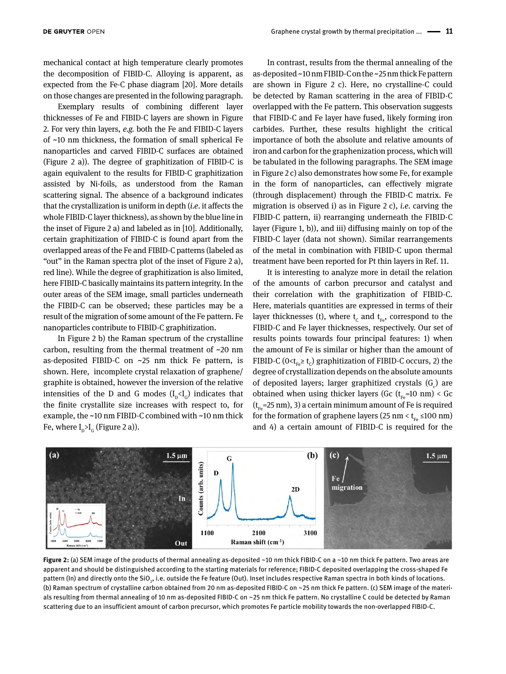mechanical contact at high temperature clearly promotes the decomposition of FIBID-C. Alloying is apparent, as expected from the Fe-C phase diagram [20]. More details on those changes are presented in the following paragraph.

Exemplary results of combining different layer thicknesses of Fe and FIBID-C layers are shown in Figure 2. For very thin layers, *e.g.* both the Fe and FIBID-C layers of ~10 nm thickness, the formation of small spherical Fe nanoparticles and carved FIBID-C surfaces are obtained (Figure 2 a)). The degree of graphitization of FIBID-C is again equivalent to the results for FIBID-C graphitization assisted by Ni-foils, as understood from the Raman scattering signal. The absence of a background indicates that the crystallization is uniform in depth (*i.e*. it affects the whole FIBID-C layer thickness), as shown by the blue line in the inset of Figure 2 a) and labeled as in [10]. Additionally, certain graphitization of FIBID-C is found apart from the overlapped areas of the Fe and FIBID-C patterns (labeled as "out" in the Raman spectra plot of the inset of Figure 2 a), red line). While the degree of graphitization is also limited, here FIBID-C basically maintains its pattern integrity. In the outer areas of the SEM image, small particles underneath the FIBID-C can be observed; these particles may be a result of the migration of some amount of the Fe pattern. Fe nanoparticles contribute to FIBID-C graphitization.

In Figure 2 b) the Raman spectrum of the crystalline carbon, resulting from the thermal treatment of ~20 nm as-deposited FIBID-C on ~25 nm thick Fe pattern, is shown. Here, incomplete crystal relaxation of graphene/ graphite is obtained, however the inversion of the relative intensities of the D and G modes  $(I_n < I_c)$  indicates that the finite crystallite size increases with respect to, for example, the ~10 nm FIBID-C combined with ~10 nm thick Fe, where  $I_p > I_q$  (Figure 2 a)).

In contrast, results from the thermal annealing of the as-deposited ~10 nm FIBID-C on the ~25 nm thick Fe pattern are shown in Figure 2 c). Here, no crystalline-C could be detected by Raman scattering in the area of FIBID-C overlapped with the Fe pattern. This observation suggests that FIBID-C and Fe layer have fused, likely forming iron carbides. Further, these results highlight the critical importance of both the absolute and relative amounts of iron and carbon for the graphenization process, which will be tabulated in the following paragraphs. The SEM image in Figure 2 c) also demonstrates how some Fe, for example in the form of nanoparticles, can effectively migrate (through displacement) through the FIBID-C matrix. Fe migration is observed i) as in Figure 2 c), *i.e.* carving the FIBID-C pattern, ii) rearranging underneath the FIBID-C layer (Figure 1, b)), and iii) diffusing mainly on top of the FIBID-C layer (data not shown). Similar rearrangements of the metal in combination with FIBID-C upon thermal treatment have been reported for Pt thin layers in Ref. 11.

It is interesting to analyze more in detail the relation of the amounts of carbon precursor and catalyst and their correlation with the graphitization of FIBID-C. Here, materials quantities are expressed in terms of their layer thicknesses (t), where  $t_c$  and  $t_{E}$ , correspond to the FIBID-C and Fe layer thicknesses, respectively. Our set of results points towards four principal features: 1) when the amount of Fe is similar or higher than the amount of FIBID-C ( $0 \lt t_{E} \geq t_c$ ) graphitization of FIBID-C occurs, 2) the degree of crystallization depends on the absolute amounts of deposited layers; larger graphitized crystals  $(\mathrm{G}_\mathrm{c})$  are obtained when using thicker layers (Gc ( $t_{F_e}=10$  nm) < Gc  $(t_{Fe} = 25 \text{ nm})$ , 3) a certain minimum amount of Fe is required for the formation of graphene layers (25 nm <  $t_{\text{Fe}}$  ≤100 nm) and 4) a certain amount of FIBID-C is required for the



Figure 2: (a) SEM image of the products of thermal annealing as-deposited ~10 nm thick FIBID-C on a ~10 nm thick Fe pattern. Two areas are apparent and should be distinguished according to the starting materials for reference; FIBID-C deposited overlapping the cross-shaped Fe pattern (In) and directly onto the SiO $_2$ , i.e. outside the Fe feature (Out). Inset includes respective Raman spectra in both kinds of locations. (b) Raman spectrum of crystalline carbon obtained from 20 nm as-deposited FIBID-C on ~25 nm thick Fe pattern. (c) SEM image of the materials resulting from thermal annealing of 10 nm as-deposited FIBID-C on ~25 nm thick Fe pattern. No crystalline C could be detected by Raman scattering due to an insufficient amount of carbon precursor, which promotes Fe particle mobility towards the non-overlapped FIBID-C.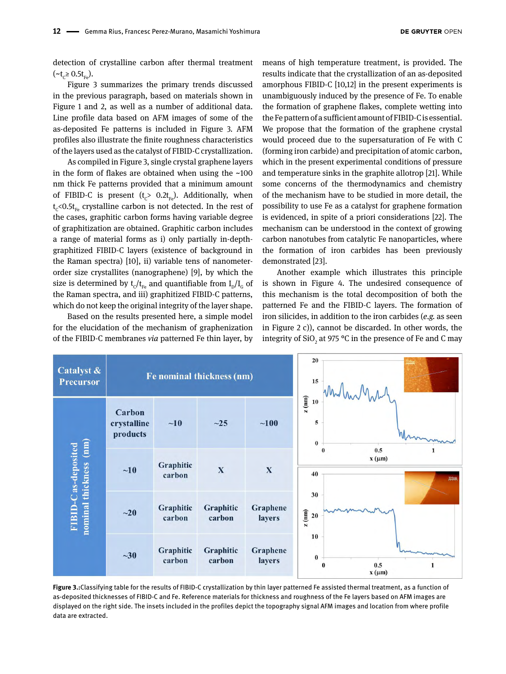detection of crystalline carbon after thermal treatment  $(-t_{c} \ge 0.5t_{E})$ .

Figure 3 summarizes the primary trends discussed in the previous paragraph, based on materials shown in Figure 1 and 2, as well as a number of additional data. Line profile data based on AFM images of some of the as-deposited Fe patterns is included in Figure 3. AFM profiles also illustrate the finite roughness characteristics of the layers used as the catalyst of FIBID-C crystallization.

As compiled in Figure 3, single crystal graphene layers in the form of flakes are obtained when using the ~100 nm thick Fe patterns provided that a minimum amount of FIBID-C is present ( $t_c$ > 0.2 $t_{F_e}$ ). Additionally, when t<sub>c</sub><0.5t<sub>Fe</sub> crystalline carbon is not detected. In the rest of the cases, graphitic carbon forms having variable degree of graphitization are obtained. Graphitic carbon includes a range of material forms as i) only partially in-depthgraphitized FIBID-C layers (existence of background in the Raman spectra) [10], ii) variable tens of nanometerorder size crystallites (nanographene) [9], by which the size is determined by  $t_c/t_{F_e}$  and quantifiable from  $I_p/I_e$  of the Raman spectra, and iii) graphitized FIBID-C patterns, which do not keep the original integrity of the layer shape.

Based on the results presented here, a simple model for the elucidation of the mechanism of graphenization of the FIBID-C membranes *via* patterned Fe thin layer, by means of high temperature treatment, is provided. The results indicate that the crystallization of an as-deposited amorphous FIBID-C [10,12] in the present experiments is unambiguously induced by the presence of Fe. To enable the formation of graphene flakes, complete wetting into the Fe pattern of a sufficient amount of FIBID-C is essential. We propose that the formation of the graphene crystal would proceed due to the supersaturation of Fe with C (forming iron carbide) and precipitation of atomic carbon, which in the present experimental conditions of pressure and temperature sinks in the graphite allotrop [21]. While some concerns of the thermodynamics and chemistry of the mechanism have to be studied in more detail, the possibility to use Fe as a catalyst for graphene formation is evidenced, in spite of a priori considerations [22]. The mechanism can be understood in the context of growing carbon nanotubes from catalytic Fe nanoparticles, where the formation of iron carbides has been previously demonstrated [23].

Another example which illustrates this principle is shown in Figure 4. The undesired consequence of this mechanism is the total decomposition of both the patterned Fe and the FIBID-C layers. The formation of iron silicides, in addition to the iron carbides (*e.g.* as seen in Figure 2 c)), cannot be discarded. In other words, the integrity of SiO<sub>2</sub> at 975 °C in the presence of Fe and C may

| Catalyst &<br><b>Precursor</b>                  | Fe nominal thickness (nm)         |                     |                     |                    | 20<br>15                                                     |
|-------------------------------------------------|-----------------------------------|---------------------|---------------------|--------------------|--------------------------------------------------------------|
|                                                 | Carbon<br>crystalline<br>products | ~10                 | ~125                | ~100               | $z$ (mm)<br>10<br>5<br>$\bf{0}$                              |
| nominal thickness (nm)<br>as-deposited<br>FIBID | ~10                               | Graphitic<br>carbon | X                   | $\mathbf X$        | 0.5<br>$\theta$<br>$x(\mu m)$<br>40<br>300 <sub>run</sub>    |
|                                                 | ~1                                | Graphitic<br>carbon | Graphitic<br>carbon | Graphene<br>layers | 30<br>$\widehat{\mathbb{E}}$ 20                              |
|                                                 | $~1 - 30$                         | Graphitic<br>carbon | Graphitic<br>carbon | Graphene<br>layers | 10<br>$\bf{0}$<br>0.5<br>$\bf{0}$<br>$\mathbf{x}$ ( $\mu$ m) |

**Figure 3.:**Classifying table for the results of FIBID-C crystallization by thin layer patterned Fe assisted thermal treatment, as a function of as-deposited thicknesses of FIBID-C and Fe. Reference materials for thickness and roughness of the Fe layers based on AFM images are displayed on the right side. The insets included in the profiles depict the topography signal AFM images and location from where profile data are extracted.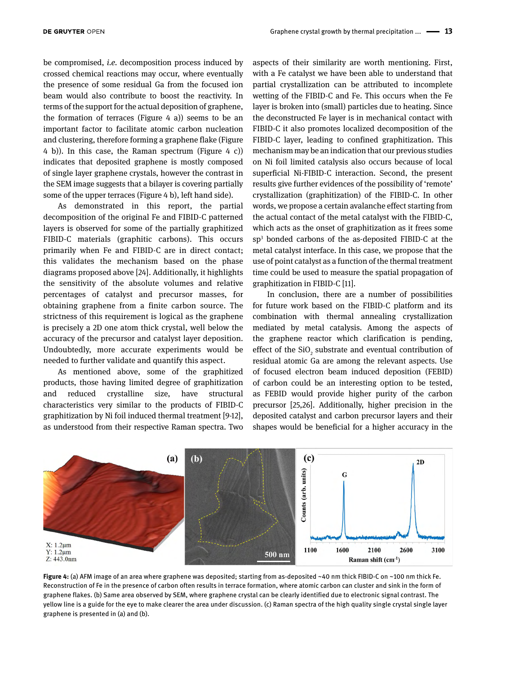be compromised, *i.e.* decomposition process induced by crossed chemical reactions may occur, where eventually the presence of some residual Ga from the focused ion beam would also contribute to boost the reactivity. In terms of the support for the actual deposition of graphene, the formation of terraces (Figure 4 a)) seems to be an important factor to facilitate atomic carbon nucleation and clustering, therefore forming a graphene flake (Figure 4 b)). In this case, the Raman spectrum (Figure 4 c)) indicates that deposited graphene is mostly composed of single layer graphene crystals, however the contrast in the SEM image suggests that a bilayer is covering partially some of the upper terraces (Figure 4 b), left hand side).

As demonstrated in this report, the partial decomposition of the original Fe and FIBID-C patterned layers is observed for some of the partially graphitized FIBID-C materials (graphitic carbons). This occurs primarily when Fe and FIBID-C are in direct contact; this validates the mechanism based on the phase diagrams proposed above [24]. Additionally, it highlights the sensitivity of the absolute volumes and relative percentages of catalyst and precursor masses, for obtaining graphene from a finite carbon source. The strictness of this requirement is logical as the graphene is precisely a 2D one atom thick crystal, well below the accuracy of the precursor and catalyst layer deposition. Undoubtedly, more accurate experiments would be needed to further validate and quantify this aspect.

As mentioned above, some of the graphitized products, those having limited degree of graphitization and reduced crystalline size, have structural characteristics very similar to the products of FIBID-C graphitization by Ni foil induced thermal treatment [9-12], as understood from their respective Raman spectra. Two

aspects of their similarity are worth mentioning. First, with a Fe catalyst we have been able to understand that partial crystallization can be attributed to incomplete wetting of the FIBID-C and Fe. This occurs when the Fe layer is broken into (small) particles due to heating. Since the deconstructed Fe layer is in mechanical contact with FIBID-C it also promotes localized decomposition of the FIBID-C layer, leading to confined graphitization. This mechanism may be an indication that our previous studies on Ni foil limited catalysis also occurs because of local superficial Ni-FIBID-C interaction. Second, the present results give further evidences of the possibility of 'remote' crystallization (graphitization) of the FIBID-C. In other words, we propose a certain avalanche effect starting from the actual contact of the metal catalyst with the FIBID-C, which acts as the onset of graphitization as it frees some sp3 bonded carbons of the as-deposited FIBID-C at the metal catalyst interface. In this case, we propose that the use of point catalyst as a function of the thermal treatment time could be used to measure the spatial propagation of graphitization in FIBID-C [11].

In conclusion, there are a number of possibilities for future work based on the FIBID-C platform and its combination with thermal annealing crystallization mediated by metal catalysis. Among the aspects of the graphene reactor which clarification is pending, effect of the  $\text{SiO}_2$  substrate and eventual contribution of residual atomic Ga are among the relevant aspects. Use of focused electron beam induced deposition (FEBID) of carbon could be an interesting option to be tested, as FEBID would provide higher purity of the carbon precursor [25,26]. Additionally, higher precision in the deposited catalyst and carbon precursor layers and their shapes would be beneficial for a higher accuracy in the



**Figure 4:** (a) AFM image of an area where graphene was deposited; starting from as-deposited ~40 nm thick FIBID-C on ~100 nm thick Fe. Reconstruction of Fe in the presence of carbon often results in terrace formation, where atomic carbon can cluster and sink in the form of graphene flakes. (b) Same area observed by SEM, where graphene crystal can be clearly identified due to electronic signal contrast. The yellow line is a guide for the eye to make clearer the area under discussion. (c) Raman spectra of the high quality single crystal single layer graphene is presented in (a) and (b).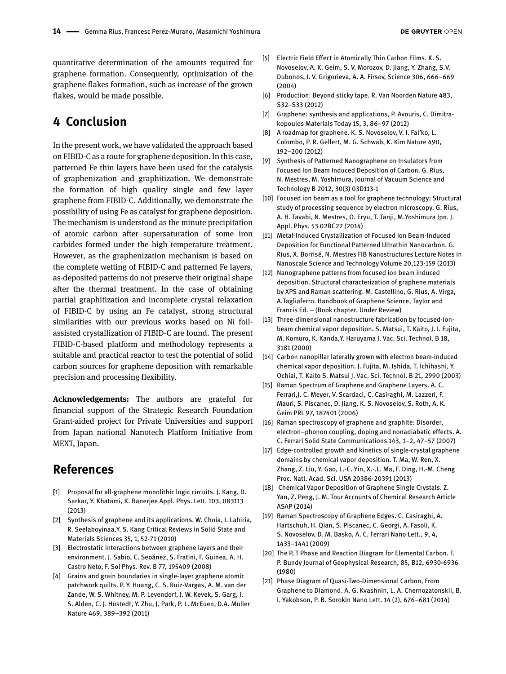quantitative determination of the amounts required for graphene formation. Consequently, optimization of the graphene flakes formation, such as increase of the grown flakes, would be made possible.

## **4 Conclusion**

In the present work, we have validated the approach based on FIBID-C as a route for graphene deposition. In this case, patterned Fe thin layers have been used for the catalysis of graphenization and graphitization. We demonstrate the formation of high quality single and few layer graphene from FIBID-C. Additionally, we demonstrate the possibility of using Fe as catalyst for graphene deposition. The mechanism is understood as the minute precipitation of atomic carbon after supersaturation of some iron carbides formed under the high temperature treatment. However, as the graphenization mechanism is based on the complete wetting of FIBID-C and patterned Fe layers, as-deposited patterns do not preserve their original shape after the thermal treatment. In the case of obtaining partial graphitization and incomplete crystal relaxation of FIBID-C by using an Fe catalyst, strong structural similarities with our previous works based on Ni foilassisted crystallization of FIBID-C are found. The present FIBID-C-based platform and methodology represents a suitable and practical reactor to test the potential of solid carbon sources for graphene deposition with remarkable precision and processing flexibility.

**Acknowledgements:** The authors are grateful for financial support of the Strategic Research Foundation Grant-aided project for Private Universities and support from Japan national Nanotech Platform Initiative from MEXT, Japan.

### **References**

- **[**1] Proposal for all-graphene monolithic logic circuits. J. Kang, D. Sarkar, Y. Khatami, K. Banerjee Appl. Phys. Lett. 103, 083113 (2013)
- [2] Synthesis of graphene and its applications. W. Choia, I. Lahiria, R. Seelaboyinaa,Y. S. Kang Critical Reviews in Solid State and Materials Sciences 35, 1, 52-71 (2010)
- [3] Electrostatic interactions between graphene layers and their environment. J. Sabio, C. Seoánez, S. Fratini, F. Guinea, A. H. Castro Neto, F. Sol Phys. Rev. B 77, 195409 (2008)
- [4] Grains and grain boundaries in single-layer graphene atomic patchwork quilts. P. Y. Huang, C. S. Ruiz-Vargas, A. M. van der Zande, W. S. Whitney, M. P. Levendorf, J. W. Kevek, S. Garg, J. S. Alden, C. J. Hustedt, Y. Zhu, J. Park, P. L. McEuen, D.A. Muller Nature 469, 389–392 (2011)
- [5] Electric Field Effect in Atomically Thin Carbon Films. K. S. Novoselov, A. K. Geim, S. V. Morozov, D. Jiang, Y. Zhang, S.V. Dubonos, I. V. Grigorieva, A. A. Firsov, Science 306, 666–669 (2004)
- [6] Production: Beyond sticky tape. R. Van Noorden Nature 483, S32–S33 (2012)
- [7] Graphene: synthesis and applications, P. Avouris, C. Dimitrakopoulos Materials Today 15, 3, 86–97 (2012)
- [8] A roadmap for graphene. K. S. Novoselov, V. I. Fal′ko, L. Colombo, P. R. Gellert, M. G. Schwab, K. Kim Nature 490, 192–200 (2012)
- [9] Synthesis of Patterned Nanographene on Insulators from Focused Ion Beam Induced Deposition of Carbon. G. Rius, N. Mestres, M. Yoshimura, Journal of Vacuum Science and Technology B 2012, 30(3) 03D113-1
- [10] Focused ion beam as a tool for graphene technology: Structural study of processing sequence by electron microscopy. G. Rius, A. H. Tavabi, N. Mestres, O. Eryu, T. Tanji, M.Yoshimura Jpn. J. Appl. Phys. 53 02BC22 (2014)
- [11] Metal-Induced Crystallization of Focused Ion Beam-Induced Deposition for Functional Patterned Ultrathin Nanocarbon. G. Rius, X. Borrisé, N. Mestres FIB Nanostructures Lecture Notes in Nanoscale Science and Technology Volume 20,123-159 (2013)
- [12] Nanographene patterns from focused ion beam induced deposition. Structural characterization of graphene materials by XPS and Raman scattering. M. Castellino, G. Rius, A. Virga, A.Tagliaferro. Handbook of Graphene Science, Taylor and Francis Ed. – (Book chapter. Under Review)
- [13] Three-dimensional nanostructure fabrication by focused-ionbeam chemical vapor deposition. S. Matsui, T. Kaito, J. I. Fujita, M. Komuro, K. Kanda,Y. Haruyama J. Vac. Sci. Technol. B 18, 3181 (2000)
- [14] Carbon nanopillar laterally grown with electron beam-induced chemical vapor deposition. J. Fujita, M. Ishida, T. Ichihashi, Y. Ochiai, T. Kaito S. Matsui J. Vac. Sci. Technol. B 21, 2990 (2003)
- [15] Raman Spectrum of Graphene and Graphene Layers. A. C. Ferrari,J. C. Meyer, V. Scardaci, C. Casiraghi, M. Lazzeri, F. Mauri, S. Piscanec, D. Jiang, K. S. Novoselov, S. Roth, A. K. Geim PRL 97, 187401 (2006)
- [16] Raman spectroscopy of graphene and graphite: Disorder, electron–phonon coupling, doping and nonadiabatic effects. A. C. Ferrari Solid State Communications 143, 1–2, 47–57 (2007)
- [17] Edge-controlled growth and kinetics of single-crystal graphene domains by chemical vapor deposition. T. Ma, W. Ren, X. Zhang, Z. Liu, Y. Gao, L.-C. Yin, X.-.L. Ma, F. Ding, H.-M. Cheng Proc. Natl. Acad. Sci. USA 20386-20391 (2013)
- [18] Chemical Vapor Deposition of Graphene Single Crystals. Z. Yan, Z. Peng, J. M. Tour Accounts of Chemical Research Article ASAP (2014)
- [19] Raman Spectroscopy of Graphene Edges. C. Casiraghi, A. Hartschuh, H. Qian, S. Piscanec, C. Georgi, A. Fasoli, K. S. Novoselov, D. M. Basko, A. C. Ferrari Nano Lett., 9, 4, 1433–1441 (2009)
- [20] The P, T Phase and Reaction Diagram for Elemental Carbon. F. P. Bundy Journal of Geophysical Research, 85, B12, 6930-6936 (1980)
- [21] Phase Diagram of Quasi-Two-Dimensional Carbon, From Graphene to Diamond. A. G. Kvashnin, L. A. Chernozatonskii, B. I. Yakobson, P. B. Sorokin Nano Lett. 14 (2), 676–681 (2014)